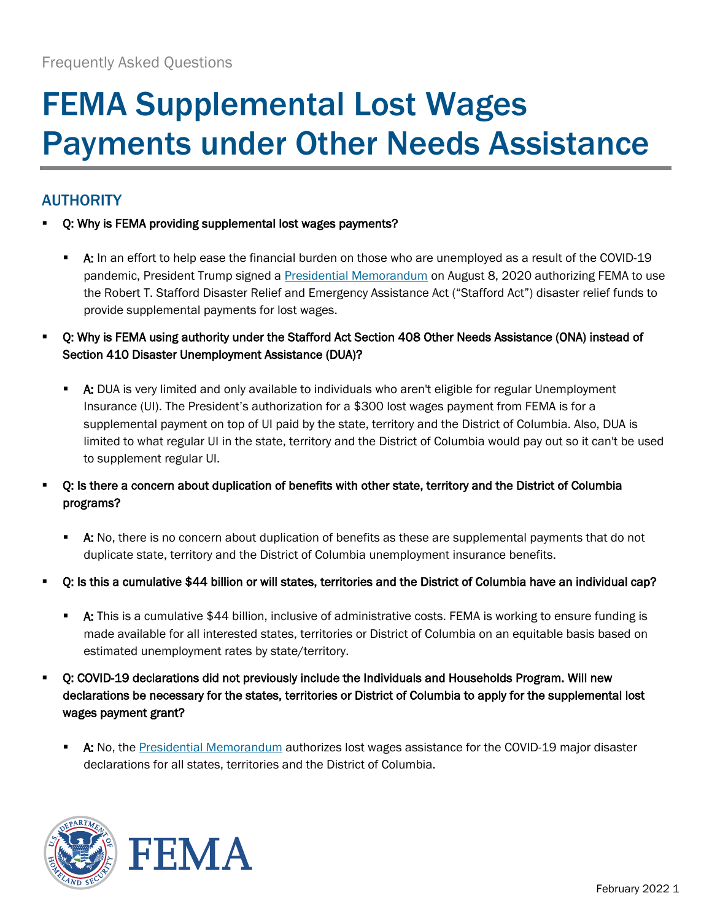# FEMA Supplemental Lost Wages Payments under Other Needs Assistance

## AUTHORITY

- Q: Why is FEMA providing supplemental lost wages payments?
	- A: In an effort to help ease the financial burden on those who are unemployed as a result of the COVID-19 pandemic, President Trump signed a [Presidential Memorandum](https://www.whitehouse.gov/presidential-actions/memorandum-authorizing-needs-assistance-program-major-disaster-declarations-related-coronavirus-disease-2019/) on August 8, 2020 authorizing FEMA to use the Robert T. Stafford Disaster Relief and Emergency Assistance Act ("Stafford Act") disaster relief funds to provide supplemental payments for lost wages.
- Q: Why is FEMA using authority under the Stafford Act Section 408 Other Needs Assistance (ONA) instead of Section 410 Disaster Unemployment Assistance (DUA)?
	- A: DUA is very limited and only available to individuals who aren't eligible for regular Unemployment Insurance (UI). The President's authorization for a \$300 lost wages payment from FEMA is for a supplemental payment on top of UI paid by the state, territory and the District of Columbia. Also, DUA is limited to what regular UI in the state, territory and the District of Columbia would pay out so it can't be used to supplement regular UI.
- Q: Is there a concern about duplication of benefits with other state, territory and the District of Columbia programs?
	- **A:** No, there is no concern about duplication of benefits as these are supplemental payments that do not duplicate state, territory and the District of Columbia unemployment insurance benefits.
- Q: Is this a cumulative \$44 billion or will states, territories and the District of Columbia have an individual cap?
	- **A:** This is a cumulative \$44 billion, inclusive of administrative costs. FEMA is working to ensure funding is made available for all interested states, territories or District of Columbia on an equitable basis based on estimated unemployment rates by state/territory.
- Q: COVID-19 declarations did not previously include the Individuals and Households Program. Will new declarations be necessary for the states, territories or District of Columbia to apply for the supplemental lost wages payment grant?
	- **A:** No, the [Presidential Memorandum](https://www.whitehouse.gov/presidential-actions/memorandum-authorizing-needs-assistance-program-major-disaster-declarations-related-coronavirus-disease-2019/) authorizes lost wages assistance for the COVID-19 major disaster declarations for all states, territories and the District of Columbia.



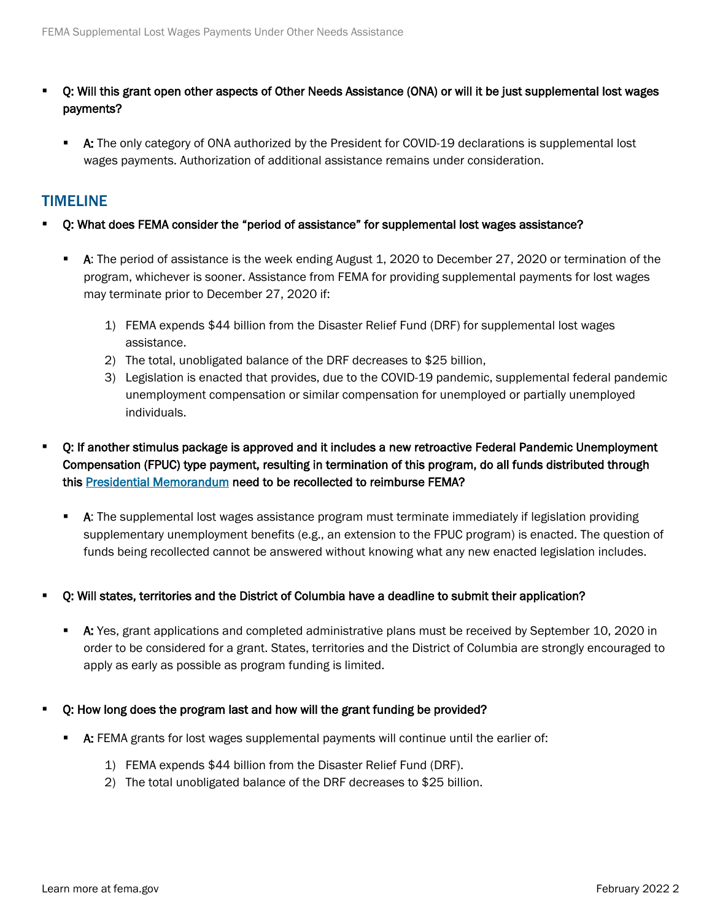- Q: Will this grant open other aspects of Other Needs Assistance (ONA) or will it be just supplemental lost wages payments?
	- A: The only category of ONA authorized by the President for COVID-19 declarations is supplemental lost wages payments. Authorization of additional assistance remains under consideration.

### TIMELINE

- Q: What does FEMA consider the "period of assistance" for supplemental lost wages assistance?
	- A: The period of assistance is the week ending August 1, 2020 to December 27, 2020 or termination of the program, whichever is sooner. Assistance from FEMA for providing supplemental payments for lost wages may terminate prior to December 27, 2020 if:
		- 1) FEMA expends \$44 billion from the Disaster Relief Fund (DRF) for supplemental lost wages assistance.
		- 2) The total, unobligated balance of the DRF decreases to \$25 billion,
		- 3) Legislation is enacted that provides, due to the COVID-19 pandemic, supplemental federal pandemic unemployment compensation or similar compensation for unemployed or partially unemployed individuals.
- Q: If another stimulus package is approved and it includes a new retroactive Federal Pandemic Unemployment Compensation (FPUC) type payment, resulting in termination of this program, do all funds distributed through this [Presidential Memorandum](https://www.whitehouse.gov/presidential-actions/memorandum-authorizing-needs-assistance-program-major-disaster-declarations-related-coronavirus-disease-2019/) need to be recollected to reimburse FEMA?
	- **A:** The supplemental lost wages assistance program must terminate immediately if legislation providing supplementary unemployment benefits (e.g., an extension to the FPUC program) is enacted. The question of funds being recollected cannot be answered without knowing what any new enacted legislation includes.
- Q: Will states, territories and the District of Columbia have a deadline to submit their application?
	- A: Yes, grant applications and completed administrative plans must be received by September 10, 2020 in order to be considered for a grant. States, territories and the District of Columbia are strongly encouraged to apply as early as possible as program funding is limited.
- Q: How long does the program last and how will the grant funding be provided?
	- A: FEMA grants for lost wages supplemental payments will continue until the earlier of:
		- 1) FEMA expends \$44 billion from the Disaster Relief Fund (DRF).
		- 2) The total unobligated balance of the DRF decreases to \$25 billion.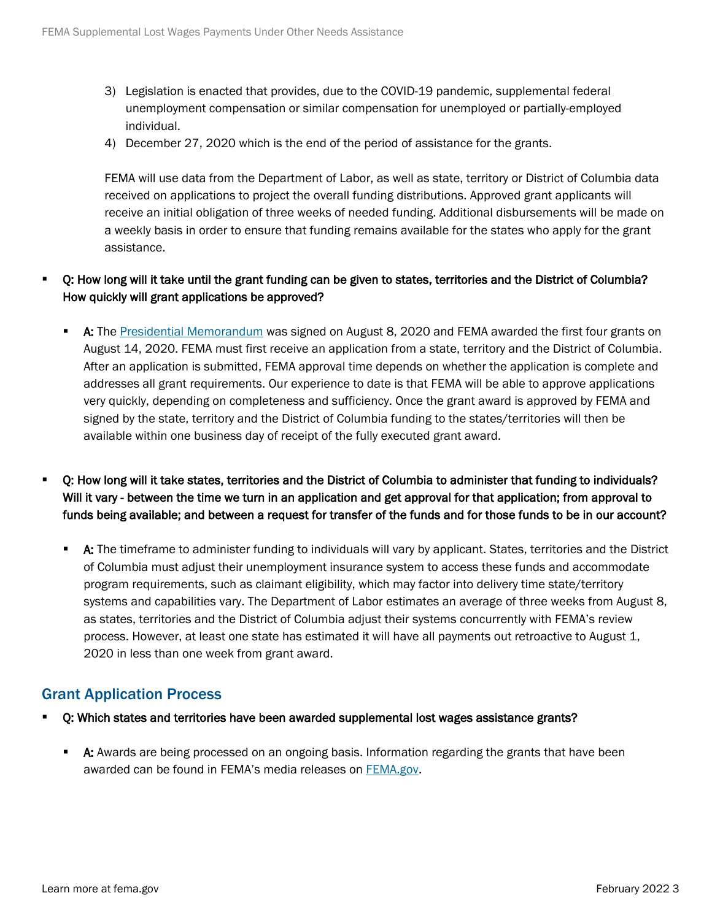- 3) Legislation is enacted that provides, due to the COVID-19 pandemic, supplemental federal unemployment compensation or similar compensation for unemployed or partially-employed individual.
- 4) December 27, 2020 which is the end of the period of assistance for the grants.

FEMA will use data from the Department of Labor, as well as state, territory or District of Columbia data received on applications to project the overall funding distributions. Approved grant applicants will receive an initial obligation of three weeks of needed funding. Additional disbursements will be made on a weekly basis in order to ensure that funding remains available for the states who apply for the grant assistance.

#### Q: How long will it take until the grant funding can be given to states, territories and the District of Columbia? How quickly will grant applications be approved?

- A: The [Presidential Memorandum](https://www.whitehouse.gov/presidential-actions/memorandum-authorizing-needs-assistance-program-major-disaster-declarations-related-coronavirus-disease-2019/) was signed on August 8, 2020 and FEMA awarded the first four grants on August 14, 2020. FEMA must first receive an application from a state, territory and the District of Columbia. After an application is submitted, FEMA approval time depends on whether the application is complete and addresses all grant requirements. Our experience to date is that FEMA will be able to approve applications very quickly, depending on completeness and sufficiency. Once the grant award is approved by FEMA and signed by the state, territory and the District of Columbia funding to the states/territories will then be available within one business day of receipt of the fully executed grant award.
- Q: How long will it take states, territories and the District of Columbia to administer that funding to individuals? Will it vary - between the time we turn in an application and get approval for that application; from approval to funds being available; and between a request for transfer of the funds and for those funds to be in our account?
	- **A:** The timeframe to administer funding to individuals will vary by applicant. States, territories and the District of Columbia must adjust their unemployment insurance system to access these funds and accommodate program requirements, such as claimant eligibility, which may factor into delivery time state/territory systems and capabilities vary. The Department of Labor estimates an average of three weeks from August 8, as states, territories and the District of Columbia adjust their systems concurrently with FEMA's review process. However, at least one state has estimated it will have all payments out retroactive to August 1, 2020 in less than one week from grant award.

## Grant Application Process

- Q: Which states and territories have been awarded supplemental lost wages assistance grants?
	- A: Awards are being processed on an ongoing basis. Information regarding the grants that have been awarded can be found in FEMA's media releases on [FEMA.gov.](https://www.fema.gov/disasters/coronavirus/governments/supplemental-payments-lost-wages)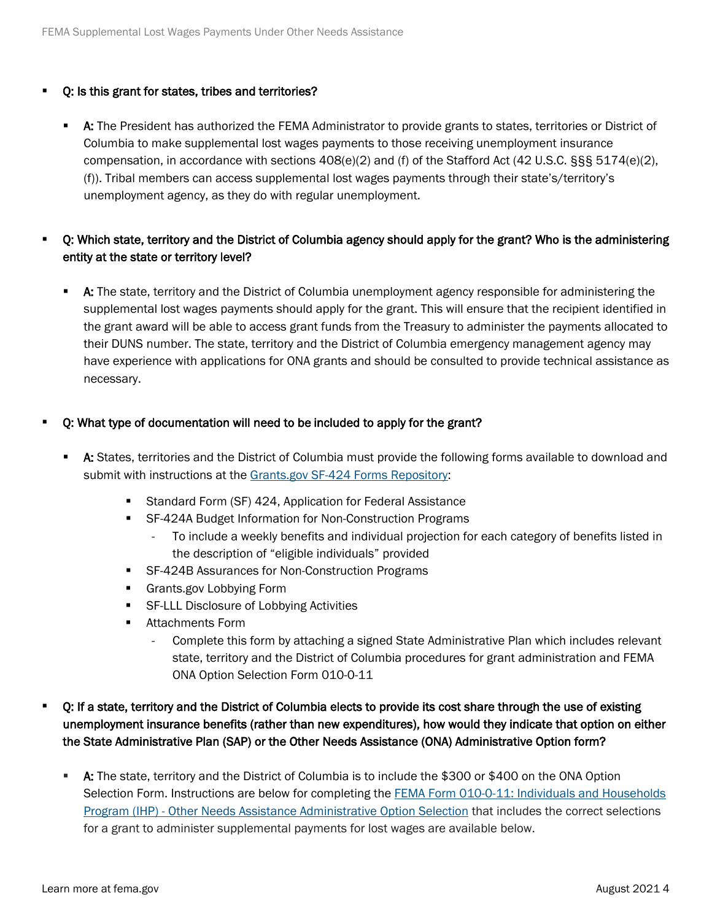#### Q: Is this grant for states, tribes and territories?

**A:** The President has authorized the FEMA Administrator to provide grants to states, territories or District of Columbia to make supplemental lost wages payments to those receiving unemployment insurance compensation, in accordance with sections 408(e)(2) and (f) of the Stafford Act (42 U.S.C. §§§ 5174(e)(2), (f)). Tribal members can access supplemental lost wages payments through their state's/territory's unemployment agency, as they do with regular unemployment.

#### Q: Which state, territory and the District of Columbia agency should apply for the grant? Who is the administering entity at the state or territory level?

**A:** The state, territory and the District of Columbia unemployment agency responsible for administering the supplemental lost wages payments should apply for the grant. This will ensure that the recipient identified in the grant award will be able to access grant funds from the Treasury to administer the payments allocated to their DUNS number. The state, territory and the District of Columbia emergency management agency may have experience with applications for ONA grants and should be consulted to provide technical assistance as necessary.

#### Q: What type of documentation will need to be included to apply for the grant?

- **A:** States, territories and the District of Columbia must provide the following forms available to download and submit with instructions at the [Grants.gov SF-424 Forms Repository:](https://www.grants.gov/web/grants/forms/sf-424-family.html)
	- **Standard Form (SF) 424, Application for Federal Assistance**
	- SF-424A Budget Information for Non-Construction Programs
		- To include a weekly benefits and individual projection for each category of benefits listed in the description of "eligible individuals" provided
	- SF-424B Assurances for Non-Construction Programs
	- **Grants.gov Lobbying Form**
	- **SF-LLL Disclosure of Lobbying Activities**
	- **Attachments Form** 
		- Complete this form by attaching a signed State Administrative Plan which includes relevant state, territory and the District of Columbia procedures for grant administration and FEMA ONA Option Selection Form 010-0-11

#### Q: If a state, territory and the District of Columbia elects to provide its cost share through the use of existing unemployment insurance benefits (rather than new expenditures), how would they indicate that option on either the State Administrative Plan (SAP) or the Other Needs Assistance (ONA) Administrative Option form?

 A: The state, territory and the District of Columbia is to include the \$300 or \$400 on the ONA Option Selection Form. Instructions are below for completing the [FEMA Form 010-0-11: Individuals and Households](https://www.fema.gov/media-library-data/1544535263707-b64302090b362e43b9acec0517150836/Individuals_and_Households_ONA_Administrative_Option_(FEMA_Form_010-0-11).pdf) [Program \(IHP\) - Other Needs Assistance Administrative Option Selection](https://www.fema.gov/media-library-data/1544535263707-b64302090b362e43b9acec0517150836/Individuals_and_Households_ONA_Administrative_Option_(FEMA_Form_010-0-11).pdf) that includes the correct selections for a grant to administer supplemental payments for lost wages are available below.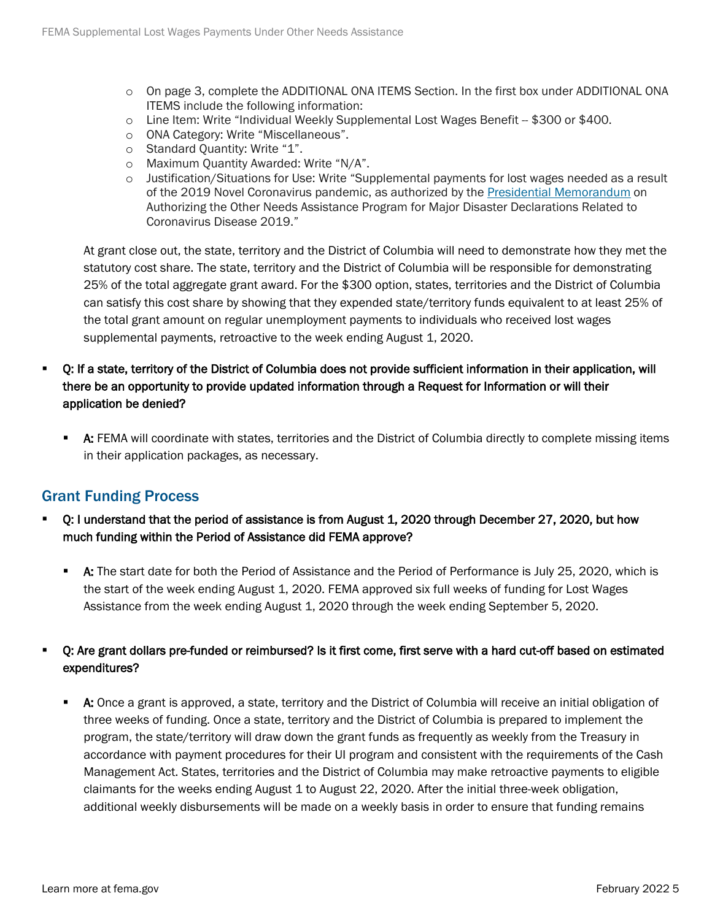- o On page 3, complete the ADDITIONAL ONA ITEMS Section. In the first box under ADDITIONAL ONA ITEMS include the following information:
- $\circ$  Line Item: Write "Individual Weekly Supplemental Lost Wages Benefit  $-$  \$300 or \$400.
- o ONA Category: Write "Miscellaneous".
- o Standard Quantity: Write "1".
- o Maximum Quantity Awarded: Write "N/A".
- o Justification/Situations for Use: Write "Supplemental payments for lost wages needed as a result of the 2019 Novel Coronavirus pandemic, as authorized by the [Presidential Memorandum](https://www.whitehouse.gov/presidential-actions/memorandum-authorizing-needs-assistance-program-major-disaster-declarations-related-coronavirus-disease-2019/) on Authorizing the Other Needs Assistance Program for Major Disaster Declarations Related to Coronavirus Disease 2019."

At grant close out, the state, territory and the District of Columbia will need to demonstrate how they met the statutory cost share. The state, territory and the District of Columbia will be responsible for demonstrating 25% of the total aggregate grant award. For the \$300 option, states, territories and the District of Columbia can satisfy this cost share by showing that they expended state/territory funds equivalent to at least 25% of the total grant amount on regular unemployment payments to individuals who received lost wages supplemental payments, retroactive to the week ending August 1, 2020.

- Q: If a state, territory of the District of Columbia does not provide sufficient information in their application, will there be an opportunity to provide updated information through a Request for Information or will their application be denied?
	- A: FEMA will coordinate with states, territories and the District of Columbia directly to complete missing items in their application packages, as necessary.

## Grant Funding Process

- Q: I understand that the period of assistance is from August 1, 2020 through December 27, 2020, but how much funding within the Period of Assistance did FEMA approve?
	- A: The start date for both the Period of Assistance and the Period of Performance is July 25, 2020, which is the start of the week ending August 1, 2020. FEMA approved six full weeks of funding for Lost Wages Assistance from the week ending August 1, 2020 through the week ending September 5, 2020.

#### Q: Are grant dollars pre-funded or reimbursed? Is it first come, first serve with a hard cut-off based on estimated expenditures?

 A: Once a grant is approved, a state, territory and the District of Columbia will receive an initial obligation of three weeks of funding. Once a state, territory and the District of Columbia is prepared to implement the program, the state/territory will draw down the grant funds as frequently as weekly from the Treasury in accordance with payment procedures for their UI program and consistent with the requirements of the Cash Management Act. States, territories and the District of Columbia may make retroactive payments to eligible claimants for the weeks ending August 1 to August 22, 2020. After the initial three-week obligation, additional weekly disbursements will be made on a weekly basis in order to ensure that funding remains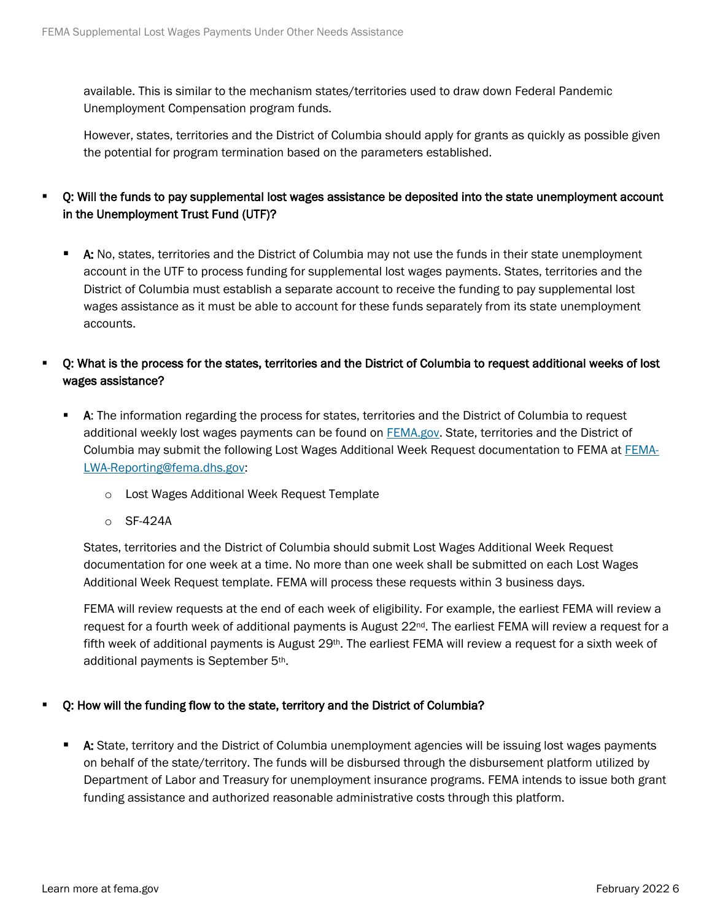available. This is similar to the mechanism states/territories used to draw down Federal Pandemic Unemployment Compensation program funds.

However, states, territories and the District of Columbia should apply for grants as quickly as possible given the potential for program termination based on the parameters established.

## Q: Will the funds to pay supplemental lost wages assistance be deposited into the state unemployment account in the Unemployment Trust Fund (UTF)?

A: No, states, territories and the District of Columbia may not use the funds in their state unemployment account in the UTF to process funding for supplemental lost wages payments. States, territories and the District of Columbia must establish a separate account to receive the funding to pay supplemental lost wages assistance as it must be able to account for these funds separately from its state unemployment accounts.

#### Q: What is the process for the states, territories and the District of Columbia to request additional weeks of lost wages assistance?

- **A:** The information regarding the process for states, territories and the District of Columbia to request additional weekly lost wages payments can be found on **FEMA.gov.** State, territories and the District of Columbia may submit the following Lost Wages Additional Week Request documentation to FEMA at [FEMA-](mailto:FEMA-LWA-Reporting@fema.dhs.gov)[LWA-Reporting@fema.dhs.gov:](mailto:FEMA-LWA-Reporting@fema.dhs.gov)
	- o Lost Wages Additional Week Request Template
	- o SF-424A

States, territories and the District of Columbia should submit Lost Wages Additional Week Request documentation for one week at a time. No more than one week shall be submitted on each Lost Wages Additional Week Request template. FEMA will process these requests within 3 business days.

FEMA will review requests at the end of each week of eligibility. For example, the earliest FEMA will review a request for a fourth week of additional payments is August 22<sup>nd</sup>. The earliest FEMA will review a request for a fifth week of additional payments is August 29<sup>th</sup>. The earliest FEMA will review a request for a sixth week of additional payments is September 5th.

#### Q: How will the funding flow to the state, territory and the District of Columbia?

**A:** State, territory and the District of Columbia unemployment agencies will be issuing lost wages payments on behalf of the state/territory. The funds will be disbursed through the disbursement platform utilized by Department of Labor and Treasury for unemployment insurance programs. FEMA intends to issue both grant funding assistance and authorized reasonable administrative costs through this platform.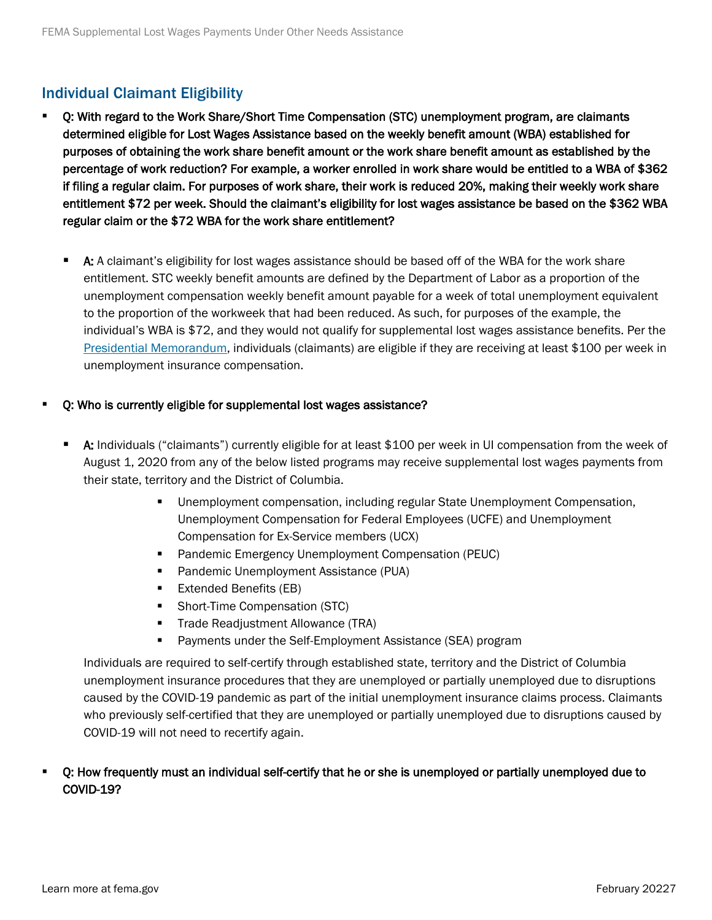## Individual Claimant Eligibility

- Q: With regard to the Work Share/Short Time Compensation (STC) unemployment program, are claimants determined eligible for Lost Wages Assistance based on the weekly benefit amount (WBA) established for purposes of obtaining the work share benefit amount or the work share benefit amount as established by the percentage of work reduction? For example, a worker enrolled in work share would be entitled to a WBA of \$362 if filing a regular claim. For purposes of work share, their work is reduced 20%, making their weekly work share entitlement \$72 per week. Should the claimant's eligibility for lost wages assistance be based on the \$362 WBA regular claim or the \$72 WBA for the work share entitlement?
	- **A:** A claimant's eligibility for lost wages assistance should be based off of the WBA for the work share entitlement. STC weekly benefit amounts are defined by the Department of Labor as a proportion of the unemployment compensation weekly benefit amount payable for a week of total unemployment equivalent to the proportion of the workweek that had been reduced. As such, for purposes of the example, the individual's WBA is \$72, and they would not qualify for supplemental lost wages assistance benefits. Per the [Presidential Memorandum,](https://www.whitehouse.gov/presidential-actions/memorandum-authorizing-needs-assistance-program-major-disaster-declarations-related-coronavirus-disease-2019/) individuals (claimants) are eligible if they are receiving at least \$100 per week in unemployment insurance compensation.

#### Q: Who is currently eligible for supplemental lost wages assistance?

- A: Individuals ("claimants") currently eligible for at least \$100 per week in UI compensation from the week of August 1, 2020 from any of the below listed programs may receive supplemental lost wages payments from their state, territory and the District of Columbia.
	- Unemployment compensation, including regular State Unemployment Compensation, Unemployment Compensation for Federal Employees (UCFE) and Unemployment Compensation for Ex-Service members (UCX)
	- **Pandemic Emergency Unemployment Compensation (PEUC)**
	- **Pandemic Unemployment Assistance (PUA)**
	- Extended Benefits (EB)
	- Short-Time Compensation (STC)
	- Trade Readjustment Allowance (TRA)
	- Payments under the Self-Employment Assistance (SEA) program

Individuals are required to self-certify through established state, territory and the District of Columbia unemployment insurance procedures that they are unemployed or partially unemployed due to disruptions caused by the COVID-19 pandemic as part of the initial unemployment insurance claims process. Claimants who previously self-certified that they are unemployed or partially unemployed due to disruptions caused by COVID-19 will not need to recertify again.

#### Q: How frequently must an individual self-certify that he or she is unemployed or partially unemployed due to COVID-19?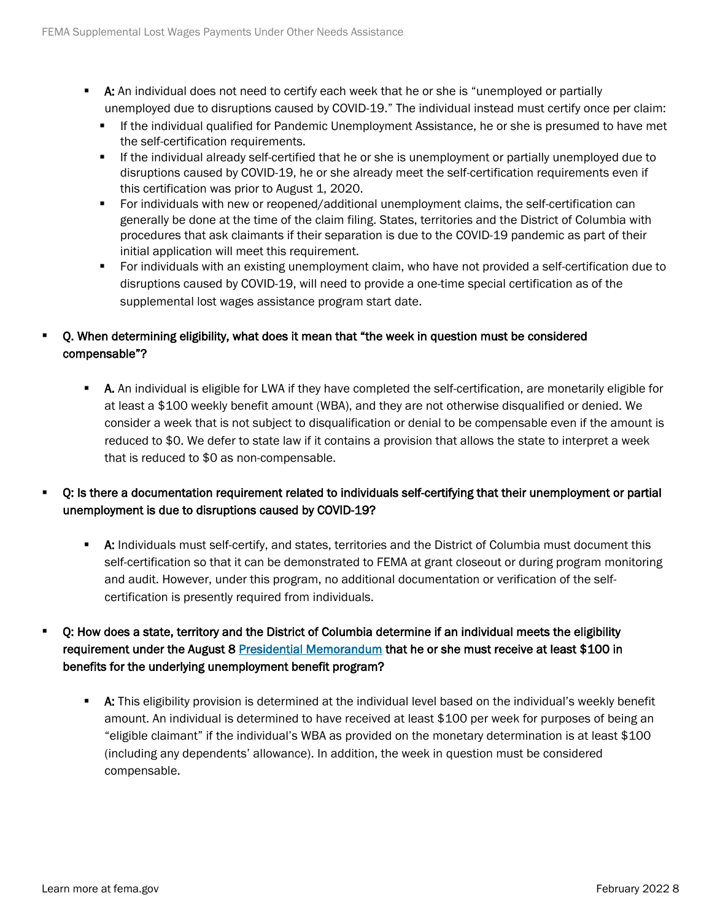- **A:** An individual does not need to certify each week that he or she is "unemployed or partially unemployed due to disruptions caused by COVID-19." The individual instead must certify once per claim:
	- If the individual qualified for Pandemic Unemployment Assistance, he or she is presumed to have met the self-certification requirements.
	- If the individual already self-certified that he or she is unemployment or partially unemployed due to disruptions caused by COVID-19, he or she already meet the self-certification requirements even if this certification was prior to August 1, 2020.
	- For individuals with new or reopened/additional unemployment claims, the self-certification can generally be done at the time of the claim filing. States, territories and the District of Columbia with procedures that ask claimants if their separation is due to the COVID-19 pandemic as part of their initial application will meet this requirement.
	- For individuals with an existing unemployment claim, who have not provided a self-certification due to disruptions caused by COVID-19, will need to provide a one-time special certification as of the supplemental lost wages assistance program start date.

## Q. When determining eligibility, what does it mean that "the week in question must be considered compensable"?

- **A.** An individual is eligible for LWA if they have completed the self-certification, are monetarily eligible for at least a \$100 weekly benefit amount (WBA), and they are not otherwise disqualified or denied. We consider a week that is not subject to disqualification or denial to be compensable even if the amount is reduced to \$0. We defer to state law if it contains a provision that allows the state to interpret a week that is reduced to \$0 as non-compensable.
- Q: Is there a documentation requirement related to individuals self-certifying that their unemployment or partial unemployment is due to disruptions caused by COVID-19?
	- **A:** Individuals must self-certify, and states, territories and the District of Columbia must document this self-certification so that it can be demonstrated to FEMA at grant closeout or during program monitoring and audit. However, under this program, no additional documentation or verification of the selfcertification is presently required from individuals.
- Q: How does a state, territory and the District of Columbia determine if an individual meets the eligibility requirement under the August 8 [Presidential Memorandum](https://www.whitehouse.gov/presidential-actions/memorandum-authorizing-needs-assistance-program-major-disaster-declarations-related-coronavirus-disease-2019/) that he or she must receive at least \$100 in benefits for the underlying unemployment benefit program?
	- **A:** This eligibility provision is determined at the individual level based on the individual's weekly benefit amount. An individual is determined to have received at least \$100 per week for purposes of being an "eligible claimant" if the individual's WBA as provided on the monetary determination is at least \$100 (including any dependents' allowance). In addition, the week in question must be considered compensable.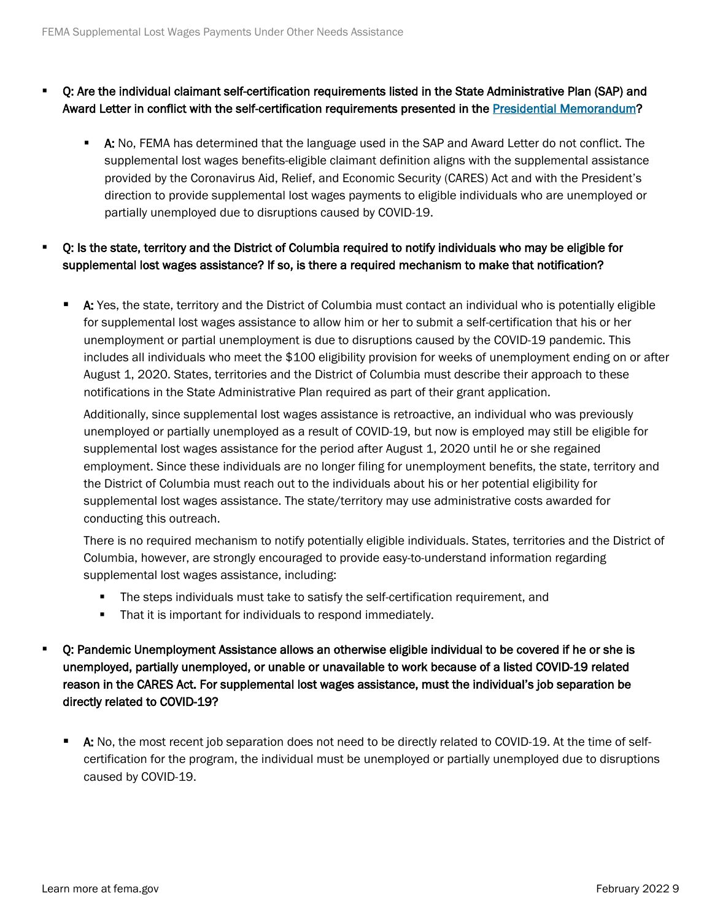- Q: Are the individual claimant self-certification requirements listed in the State Administrative Plan (SAP) and Award Letter in conflict with the self-certification requirements presented in the [Presidential Memorandum?](https://www.whitehouse.gov/presidential-actions/memorandum-authorizing-needs-assistance-program-major-disaster-declarations-related-coronavirus-disease-2019/)
	- A: No, FEMA has determined that the language used in the SAP and Award Letter do not conflict. The supplemental lost wages benefits-eligible claimant definition aligns with the supplemental assistance provided by the Coronavirus Aid, Relief, and Economic Security (CARES) Act and with the President's direction to provide supplemental lost wages payments to eligible individuals who are unemployed or partially unemployed due to disruptions caused by COVID-19.
- Q: Is the state, territory and the District of Columbia required to notify individuals who may be eligible for supplemental lost wages assistance? If so, is there a required mechanism to make that notification?
	- **A:** Yes, the state, territory and the District of Columbia must contact an individual who is potentially eligible for supplemental lost wages assistance to allow him or her to submit a self-certification that his or her unemployment or partial unemployment is due to disruptions caused by the COVID-19 pandemic. This includes all individuals who meet the \$100 eligibility provision for weeks of unemployment ending on or after August 1, 2020. States, territories and the District of Columbia must describe their approach to these notifications in the State Administrative Plan required as part of their grant application.

Additionally, since supplemental lost wages assistance is retroactive, an individual who was previously unemployed or partially unemployed as a result of COVID-19, but now is employed may still be eligible for supplemental lost wages assistance for the period after August 1, 2020 until he or she regained employment. Since these individuals are no longer filing for unemployment benefits, the state, territory and the District of Columbia must reach out to the individuals about his or her potential eligibility for supplemental lost wages assistance. The state/territory may use administrative costs awarded for conducting this outreach.

There is no required mechanism to notify potentially eligible individuals. States, territories and the District of Columbia, however, are strongly encouraged to provide easy-to-understand information regarding supplemental lost wages assistance, including:

- The steps individuals must take to satisfy the self-certification requirement, and
- That it is important for individuals to respond immediately.
- Q: Pandemic Unemployment Assistance allows an otherwise eligible individual to be covered if he or she is unemployed, partially unemployed, or unable or unavailable to work because of a listed COVID-19 related reason in the CARES Act. For supplemental lost wages assistance, must the individual's job separation be directly related to COVID-19?
	- A: No, the most recent job separation does not need to be directly related to COVID-19. At the time of selfcertification for the program, the individual must be unemployed or partially unemployed due to disruptions caused by COVID-19.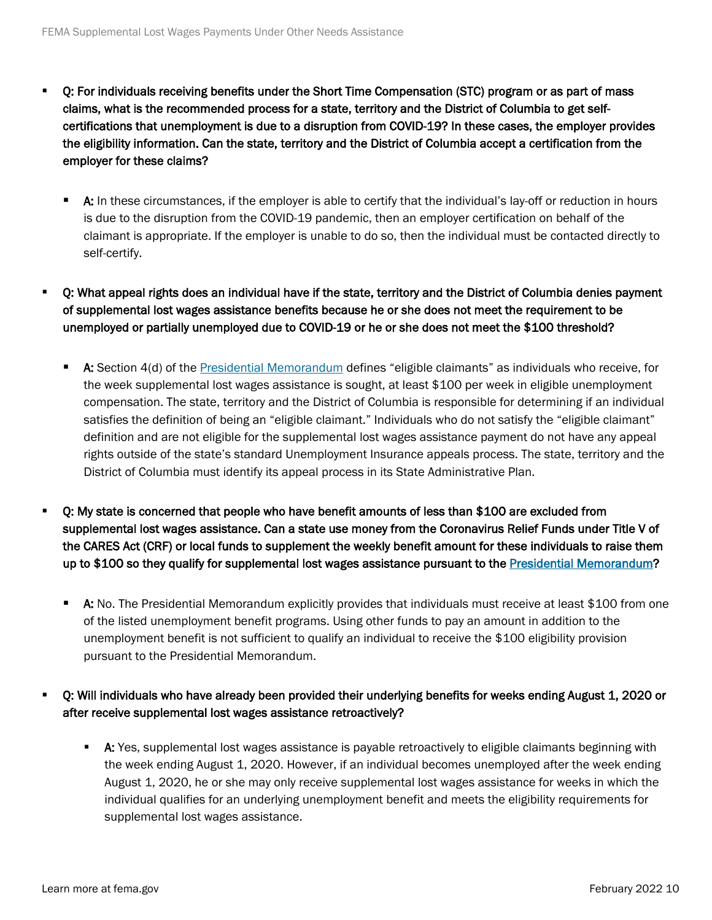- Q: For individuals receiving benefits under the Short Time Compensation (STC) program or as part of mass claims, what is the recommended process for a state, territory and the District of Columbia to get selfcertifications that unemployment is due to a disruption from COVID-19? In these cases, the employer provides the eligibility information. Can the state, territory and the District of Columbia accept a certification from the employer for these claims?
	- **A:** In these circumstances, if the employer is able to certify that the individual's lay-off or reduction in hours is due to the disruption from the COVID-19 pandemic, then an employer certification on behalf of the claimant is appropriate. If the employer is unable to do so, then the individual must be contacted directly to self-certify.
- Q: What appeal rights does an individual have if the state, territory and the District of Columbia denies payment of supplemental lost wages assistance benefits because he or she does not meet the requirement to be unemployed or partially unemployed due to COVID-19 or he or she does not meet the \$100 threshold?
	- A: Section 4(d) of the [Presidential Memorandum](https://www.whitehouse.gov/presidential-actions/memorandum-authorizing-needs-assistance-program-major-disaster-declarations-related-coronavirus-disease-2019/) defines "eligible claimants" as individuals who receive, for the week supplemental lost wages assistance is sought, at least \$100 per week in eligible unemployment compensation. The state, territory and the District of Columbia is responsible for determining if an individual satisfies the definition of being an "eligible claimant." Individuals who do not satisfy the "eligible claimant" definition and are not eligible for the supplemental lost wages assistance payment do not have any appeal rights outside of the state's standard Unemployment Insurance appeals process. The state, territory and the District of Columbia must identify its appeal process in its State Administrative Plan.
- Q: My state is concerned that people who have benefit amounts of less than \$100 are excluded from supplemental lost wages assistance. Can a state use money from the Coronavirus Relief Funds under Title V of the CARES Act (CRF) or local funds to supplement the weekly benefit amount for these individuals to raise them up to \$100 so they qualify for supplemental lost wages assistance pursuant to the [Presidential Memorandum?](https://www.whitehouse.gov/presidential-actions/memorandum-authorizing-needs-assistance-program-major-disaster-declarations-related-coronavirus-disease-2019/)
	- A: No. The Presidential Memorandum explicitly provides that individuals must receive at least \$100 from one of the listed unemployment benefit programs. Using other funds to pay an amount in addition to the unemployment benefit is not sufficient to qualify an individual to receive the \$100 eligibility provision pursuant to the Presidential Memorandum.
- Q: Will individuals who have already been provided their underlying benefits for weeks ending August 1, 2020 or after receive supplemental lost wages assistance retroactively?
	- A: Yes, supplemental lost wages assistance is payable retroactively to eligible claimants beginning with the week ending August 1, 2020. However, if an individual becomes unemployed after the week ending August 1, 2020, he or she may only receive supplemental lost wages assistance for weeks in which the individual qualifies for an underlying unemployment benefit and meets the eligibility requirements for supplemental lost wages assistance.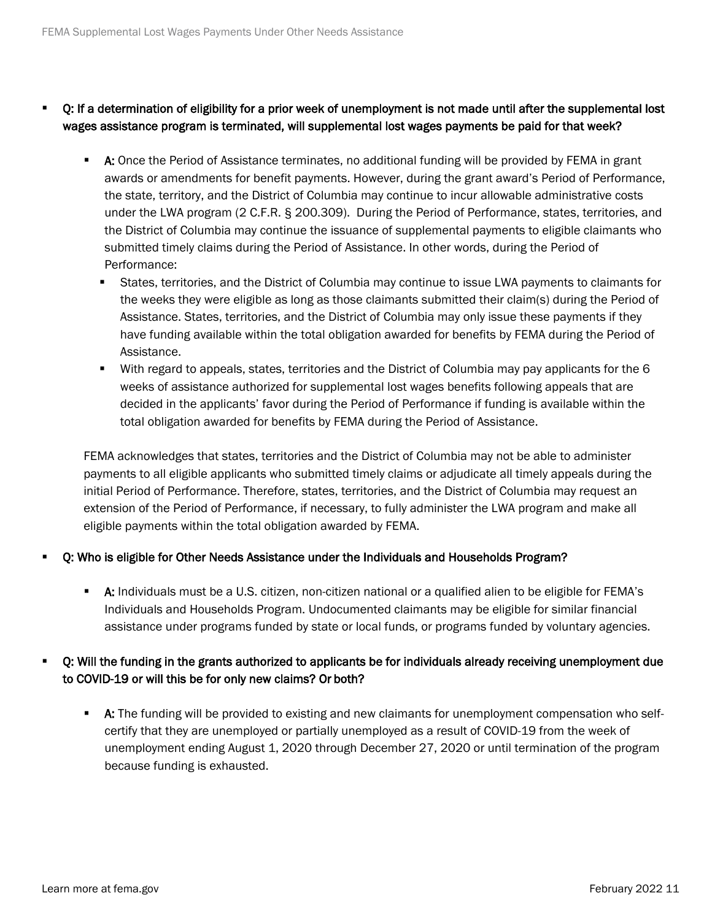- Q: If a determination of eligibility for a prior week of unemployment is not made until after the supplemental lost wages assistance program is terminated, will supplemental lost wages payments be paid for that week?
	- **A:** Once the Period of Assistance terminates, no additional funding will be provided by FEMA in grant awards or amendments for benefit payments. However, during the grant award's Period of Performance, the state, territory, and the District of Columbia may continue to incur allowable administrative costs under the LWA program (2 C.F.R. § 200.309). During the Period of Performance, states, territories, and the District of Columbia may continue the issuance of supplemental payments to eligible claimants who submitted timely claims during the Period of Assistance. In other words, during the Period of Performance:
		- States, territories, and the District of Columbia may continue to issue LWA payments to claimants for the weeks they were eligible as long as those claimants submitted their claim(s) during the Period of Assistance. States, territories, and the District of Columbia may only issue these payments if they have funding available within the total obligation awarded for benefits by FEMA during the Period of Assistance.
		- With regard to appeals, states, territories and the District of Columbia may pay applicants for the 6 weeks of assistance authorized for supplemental lost wages benefits following appeals that are decided in the applicants' favor during the Period of Performance if funding is available within the total obligation awarded for benefits by FEMA during the Period of Assistance.

FEMA acknowledges that states, territories and the District of Columbia may not be able to administer payments to all eligible applicants who submitted timely claims or adjudicate all timely appeals during the initial Period of Performance. Therefore, states, territories, and the District of Columbia may request an extension of the Period of Performance, if necessary, to fully administer the LWA program and make all eligible payments within the total obligation awarded by FEMA.

#### Q: Who is eligible for Other Needs Assistance under the Individuals and Households Program?

 A: Individuals must be a U.S. citizen, non-citizen national or a qualified alien to be eligible for FEMA's Individuals and Households Program. Undocumented claimants may be eligible for similar financial assistance under programs funded by state or local funds, or programs funded by voluntary agencies.

#### Q: Will the funding in the grants authorized to applicants be for individuals already receiving unemployment due to COVID-19 or will this be for only new claims? Or both?

**A:** The funding will be provided to existing and new claimants for unemployment compensation who selfcertify that they are unemployed or partially unemployed as a result of COVID-19 from the week of unemployment ending August 1, 2020 through December 27, 2020 or until termination of the program because funding is exhausted.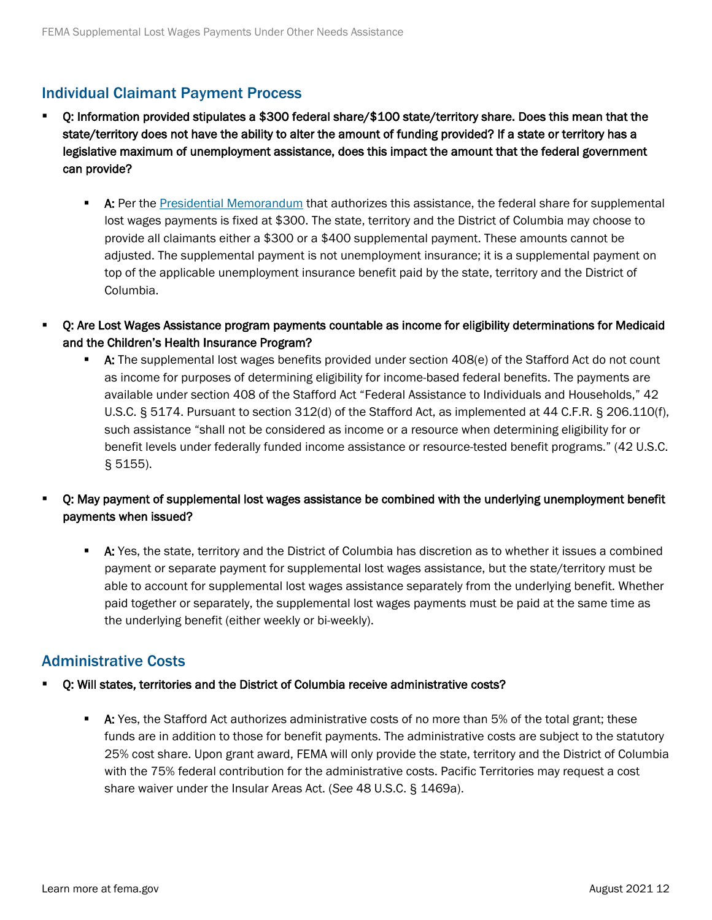## Individual Claimant Payment Process

- Q: Information provided stipulates a \$300 federal share/\$100 state/territory share. Does this mean that the state/territory does not have the ability to alter the amount of funding provided? If a state or territory has a legislative maximum of unemployment assistance, does this impact the amount that the federal government can provide?
	- **A:** Per the [Presidential Memorandum](https://www.whitehouse.gov/presidential-actions/memorandum-authorizing-needs-assistance-program-major-disaster-declarations-related-coronavirus-disease-2019/) that authorizes this assistance, the federal share for supplemental lost wages payments is fixed at \$300. The state, territory and the District of Columbia may choose to provide all claimants either a \$300 or a \$400 supplemental payment. These amounts cannot be adjusted. The supplemental payment is not unemployment insurance; it is a supplemental payment on top of the applicable unemployment insurance benefit paid by the state, territory and the District of Columbia.
- Q: Are Lost Wages Assistance program payments countable as income for eligibility determinations for Medicaid and the Children's Health Insurance Program?
	- **A:** The supplemental lost wages benefits provided under section  $408(e)$  of the Stafford Act do not count as income for purposes of determining eligibility for income-based federal benefits. The payments are available under section 408 of the Stafford Act "Federal Assistance to Individuals and Households," 42 U.S.C. § 5174. Pursuant to section 312(d) of the Stafford Act, as implemented at 44 C.F.R. § 206.110(f), such assistance "shall not be considered as income or a resource when determining eligibility for or benefit levels under federally funded income assistance or resource-tested benefit programs." (42 U.S.C. § 5155).
- Q: May payment of supplemental lost wages assistance be combined with the underlying unemployment benefit payments when issued?
	- A: Yes, the state, territory and the District of Columbia has discretion as to whether it issues a combined payment or separate payment for supplemental lost wages assistance, but the state/territory must be able to account for supplemental lost wages assistance separately from the underlying benefit. Whether paid together or separately, the supplemental lost wages payments must be paid at the same time as the underlying benefit (either weekly or bi-weekly).

## Administrative Costs

- Q: Will states, territories and the District of Columbia receive administrative costs?
	- **A:** Yes, the Stafford Act authorizes administrative costs of no more than 5% of the total grant; these funds are in addition to those for benefit payments. The administrative costs are subject to the statutory 25% cost share. Upon grant award, FEMA will only provide the state, territory and the District of Columbia with the 75% federal contribution for the administrative costs. Pacific Territories may request a cost share waiver under the Insular Areas Act. (*See* 48 U.S.C. § 1469a).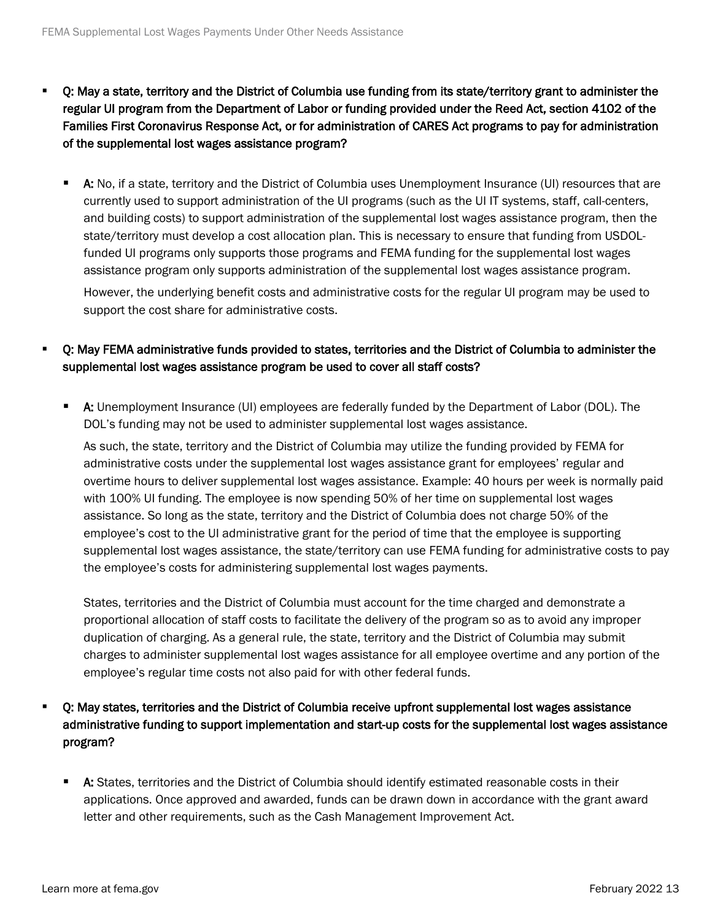- Q: May a state, territory and the District of Columbia use funding from its state/territory grant to administer the regular UI program from the Department of Labor or funding provided under the Reed Act, section 4102 of the Families First Coronavirus Response Act, or for administration of CARES Act programs to pay for administration of the supplemental lost wages assistance program?
	- **A:** No, if a state, territory and the District of Columbia uses Unemployment Insurance (UI) resources that are currently used to support administration of the UI programs (such as the UI IT systems, staff, call-centers, and building costs) to support administration of the supplemental lost wages assistance program, then the state/territory must develop a cost allocation plan. This is necessary to ensure that funding from USDOLfunded UI programs only supports those programs and FEMA funding for the supplemental lost wages assistance program only supports administration of the supplemental lost wages assistance program.

However, the underlying benefit costs and administrative costs for the regular UI program may be used to support the cost share for administrative costs.

- Q: May FEMA administrative funds provided to states, territories and the District of Columbia to administer the supplemental lost wages assistance program be used to cover all staff costs?
	- A: Unemployment Insurance (UI) employees are federally funded by the Department of Labor (DOL). The DOL's funding may not be used to administer supplemental lost wages assistance.

As such, the state, territory and the District of Columbia may utilize the funding provided by FEMA for administrative costs under the supplemental lost wages assistance grant for employees' regular and overtime hours to deliver supplemental lost wages assistance. Example: 40 hours per week is normally paid with 100% UI funding. The employee is now spending 50% of her time on supplemental lost wages assistance. So long as the state, territory and the District of Columbia does not charge 50% of the employee's cost to the UI administrative grant for the period of time that the employee is supporting supplemental lost wages assistance, the state/territory can use FEMA funding for administrative costs to pay the employee's costs for administering supplemental lost wages payments.

States, territories and the District of Columbia must account for the time charged and demonstrate a proportional allocation of staff costs to facilitate the delivery of the program so as to avoid any improper duplication of charging. As a general rule, the state, territory and the District of Columbia may submit charges to administer supplemental lost wages assistance for all employee overtime and any portion of the employee's regular time costs not also paid for with other federal funds.

- Q: May states, territories and the District of Columbia receive upfront supplemental lost wages assistance administrative funding to support implementation and start-up costs for the supplemental lost wages assistance program?
	- A: States, territories and the District of Columbia should identify estimated reasonable costs in their applications. Once approved and awarded, funds can be drawn down in accordance with the grant award letter and other requirements, such as the Cash Management Improvement Act.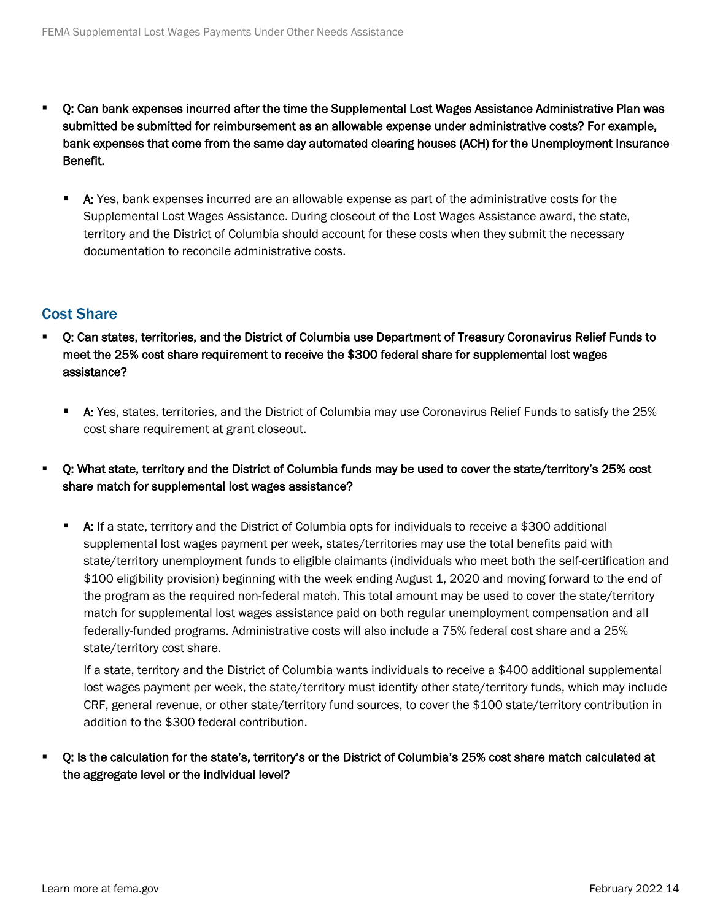- Q: Can bank expenses incurred after the time the Supplemental Lost Wages Assistance Administrative Plan was submitted be submitted for reimbursement as an allowable expense under administrative costs? For example, bank expenses that come from the same day automated clearing houses (ACH) for the Unemployment Insurance Benefit.
	- A: Yes, bank expenses incurred are an allowable expense as part of the administrative costs for the Supplemental Lost Wages Assistance. During closeout of the Lost Wages Assistance award, the state, territory and the District of Columbia should account for these costs when they submit the necessary documentation to reconcile administrative costs.

## Cost Share

- Q: Can states, territories, and the District of Columbia use Department of Treasury Coronavirus Relief Funds to meet the 25% cost share requirement to receive the \$300 federal share for supplemental lost wages assistance?
	- A: Yes, states, territories, and the District of Columbia may use Coronavirus Relief Funds to satisfy the 25% cost share requirement at grant closeout.
- Q: What state, territory and the District of Columbia funds may be used to cover the state/territory's 25% cost share match for supplemental lost wages assistance?
	- A: If a state, territory and the District of Columbia opts for individuals to receive a \$300 additional supplemental lost wages payment per week, states/territories may use the total benefits paid with state/territory unemployment funds to eligible claimants (individuals who meet both the self-certification and \$100 eligibility provision) beginning with the week ending August 1, 2020 and moving forward to the end of the program as the required non-federal match. This total amount may be used to cover the state/territory match for supplemental lost wages assistance paid on both regular unemployment compensation and all federally-funded programs. Administrative costs will also include a 75% federal cost share and a 25% state/territory cost share.

If a state, territory and the District of Columbia wants individuals to receive a \$400 additional supplemental lost wages payment per week, the state/territory must identify other state/territory funds, which may include CRF, general revenue, or other state/territory fund sources, to cover the \$100 state/territory contribution in addition to the \$300 federal contribution.

 Q: Is the calculation for the state's, territory's or the District of Columbia's 25% cost share match calculated at the aggregate level or the individual level?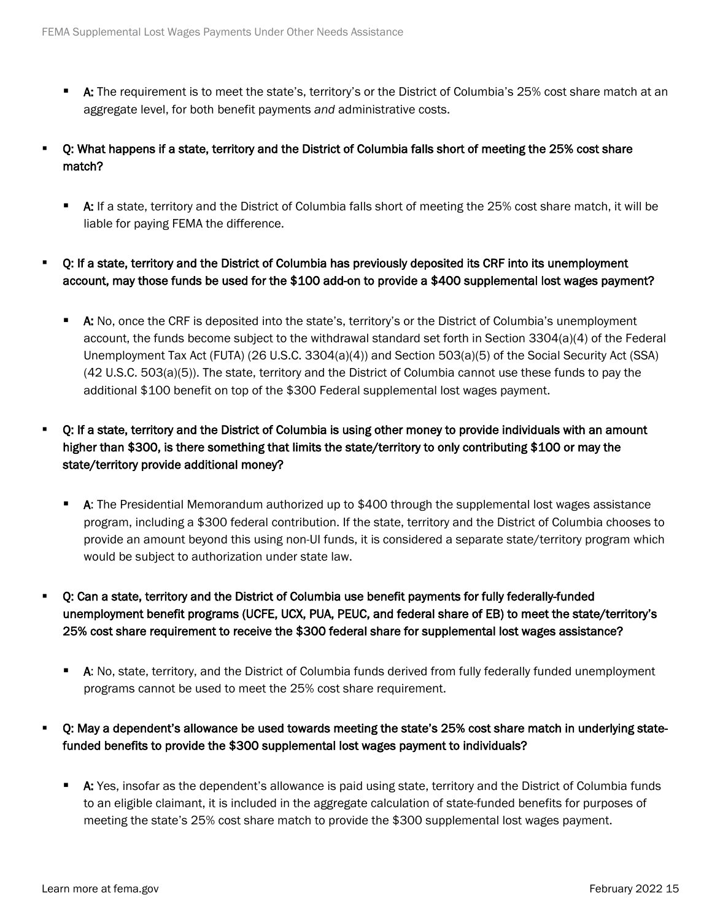- **A:** The requirement is to meet the state's, territory's or the District of Columbia's 25% cost share match at an aggregate level, for both benefit payments *and* administrative costs.
- Q: What happens if a state, territory and the District of Columbia falls short of meeting the 25% cost share match?
	- A: If a state, territory and the District of Columbia falls short of meeting the 25% cost share match, it will be liable for paying FEMA the difference.
- Q: If a state, territory and the District of Columbia has previously deposited its CRF into its unemployment account, may those funds be used for the \$100 add-on to provide a \$400 supplemental lost wages payment?
	- A: No, once the CRF is deposited into the state's, territory's or the District of Columbia's unemployment account, the funds become subject to the withdrawal standard set forth in Section 3304(a)(4) of the Federal Unemployment Tax Act (FUTA) (26 U.S.C. 3304(a)(4)) and Section 503(a)(5) of the Social Security Act (SSA) (42 U.S.C. 503(a)(5)). The state, territory and the District of Columbia cannot use these funds to pay the additional \$100 benefit on top of the \$300 Federal supplemental lost wages payment.

## Q: If a state, territory and the District of Columbia is using other money to provide individuals with an amount higher than \$300, is there something that limits the state/territory to only contributing \$100 or may the state/territory provide additional money?

- A: The [Presidential Memorandum](https://www.whitehouse.gov/presidential-actions/memorandum-authorizing-needs-assistance-program-major-disaster-declarations-related-coronavirus-disease-2019/) authorized up to \$400 through the supplemental lost wages assistance program, including a \$300 federal contribution. If the state, territory and the District of Columbia chooses to provide an amount beyond this using non-UI funds, it is considered a separate state/territory program which would be subject to authorization under state law.
- Q: Can a state, territory and the District of Columbia use benefit payments for fully federally-funded unemployment benefit programs (UCFE, UCX, PUA, PEUC, and federal share of EB) to meet the state/territory's 25% cost share requirement to receive the \$300 federal share for supplemental lost wages assistance?
	- A: No, state, territory, and the District of Columbia funds derived from fully federally funded unemployment programs cannot be used to meet the 25% cost share requirement.
- Q: May a dependent's allowance be used towards meeting the state's 25% cost share match in underlying statefunded benefits to provide the \$300 supplemental lost wages payment to individuals?
	- A: Yes, insofar as the dependent's allowance is paid using state, territory and the District of Columbia funds to an eligible claimant, it is included in the aggregate calculation of state-funded benefits for purposes of meeting the state's 25% cost share match to provide the \$300 supplemental lost wages payment.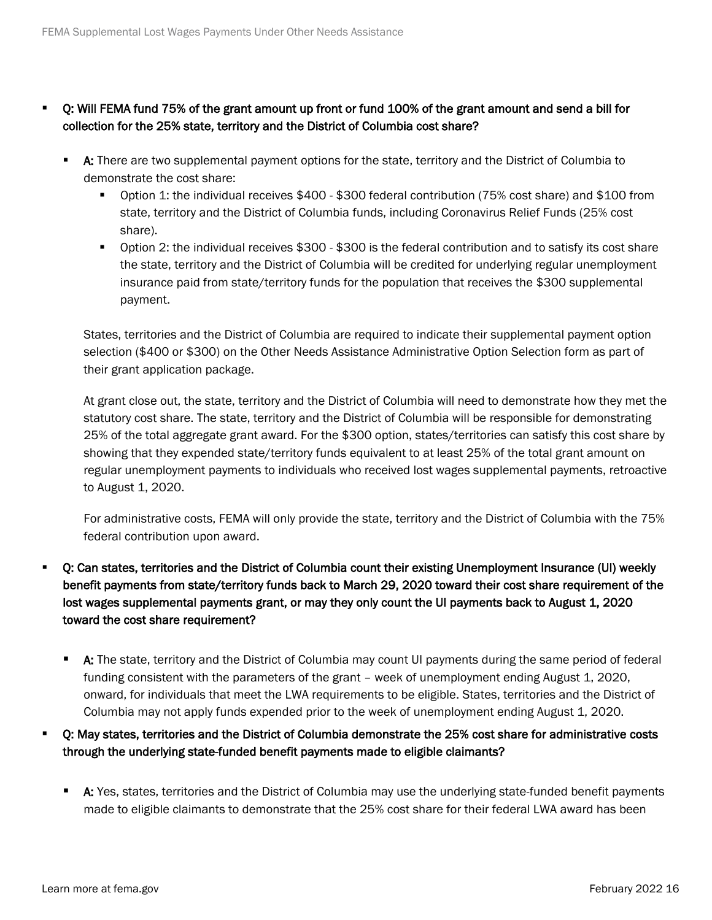- Q: Will FEMA fund 75% of the grant amount up front or fund 100% of the grant amount and send a bill for collection for the 25% state, territory and the District of Columbia cost share?
	- A: There are two supplemental payment options for the state, territory and the District of Columbia to demonstrate the cost share:
		- Option 1: the individual receives \$400 \$300 federal contribution (75% cost share) and \$100 from state, territory and the District of Columbia funds, including Coronavirus Relief Funds (25% cost share).
		- Option 2: the individual receives \$300 \$300 is the federal contribution and to satisfy its cost share the state, territory and the District of Columbia will be credited for underlying regular unemployment insurance paid from state/territory funds for the population that receives the \$300 supplemental payment.

States, territories and the District of Columbia are required to indicate their supplemental payment option selection (\$400 or \$300) on the Other Needs Assistance Administrative Option Selection form as part of their grant application package.

At grant close out, the state, territory and the District of Columbia will need to demonstrate how they met the statutory cost share. The state, territory and the District of Columbia will be responsible for demonstrating 25% of the total aggregate grant award. For the \$300 option, states/territories can satisfy this cost share by showing that they expended state/territory funds equivalent to at least 25% of the total grant amount on regular unemployment payments to individuals who received lost wages supplemental payments, retroactive to August 1, 2020.

For administrative costs, FEMA will only provide the state, territory and the District of Columbia with the 75% federal contribution upon award.

- Q: Can states, territories and the District of Columbia count their existing Unemployment Insurance (UI) weekly benefit payments from state/territory funds back to March 29, 2020 toward their cost share requirement of the lost wages supplemental payments grant, or may they only count the UI payments back to August 1, 2020 toward the cost share requirement?
	- **A:** The state, territory and the District of Columbia may count UI payments during the same period of federal funding consistent with the parameters of the grant – week of unemployment ending August 1, 2020, onward, for individuals that meet the LWA requirements to be eligible. States, territories and the District of Columbia may not apply funds expended prior to the week of unemployment ending August 1, 2020.
- Q: May states, territories and the District of Columbia demonstrate the 25% cost share for administrative costs through the underlying state-funded benefit payments made to eligible claimants?
	- A: Yes, states, territories and the District of Columbia may use the underlying state-funded benefit payments made to eligible claimants to demonstrate that the 25% cost share for their federal LWA award has been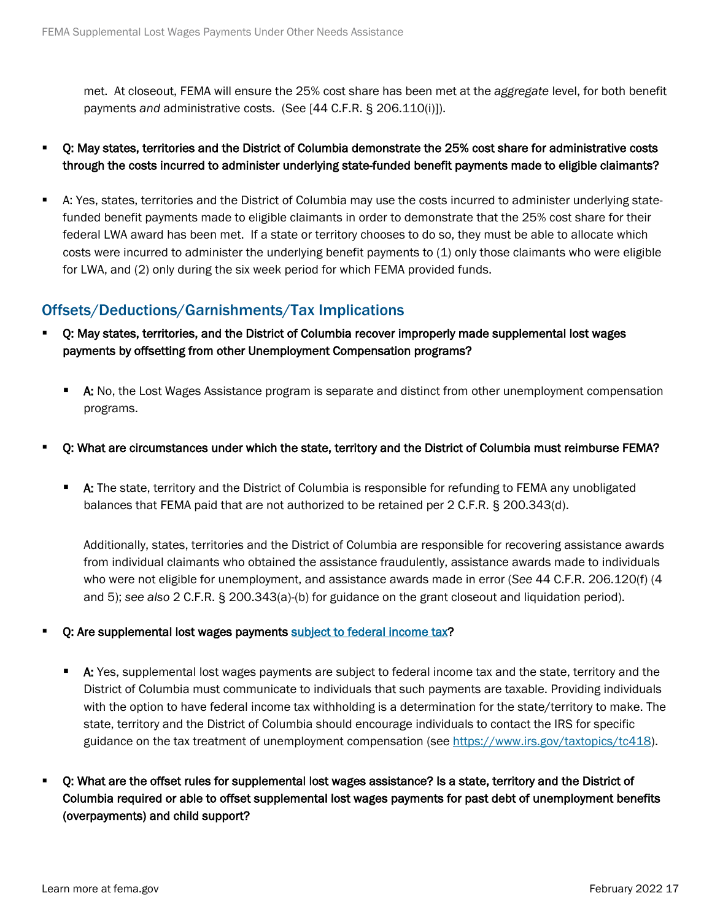met. At closeout, FEMA will ensure the 25% cost share has been met at the *aggregate* level, for both benefit payments *and* administrative costs. (See [44 C.F.R. § 206.110(i)]).

- Q: May states, territories and the District of Columbia demonstrate the 25% cost share for administrative costs through the costs incurred to administer underlying state-funded benefit payments made to eligible claimants?
- A: Yes, states, territories and the District of Columbia may use the costs incurred to administer underlying statefunded benefit payments made to eligible claimants in order to demonstrate that the 25% cost share for their federal LWA award has been met. If a state or territory chooses to do so, they must be able to allocate which costs were incurred to administer the underlying benefit payments to (1) only those claimants who were eligible for LWA, and (2) only during the six week period for which FEMA provided funds.

## Offsets/Deductions/Garnishments/Tax Implications

- Q: May states, territories, and the District of Columbia recover improperly made supplemental lost wages payments by offsetting from other Unemployment Compensation programs?
	- **A:** No, the Lost Wages Assistance program is separate and distinct from other unemployment compensation programs.
- Q: What are circumstances under which the state, territory and the District of Columbia must reimburse FEMA?
	- **A:** The state, territory and the District of Columbia is responsible for refunding to FEMA any unobligated balances that FEMA paid that are not authorized to be retained per 2 C.F.R. § 200.343(d).

Additionally, states, territories and the District of Columbia are responsible for recovering assistance awards from individual claimants who obtained the assistance fraudulently, assistance awards made to individuals who were not eligible for unemployment, and assistance awards made in error (*See* 44 C.F.R. 206.120(f) (4 and 5); *see also* 2 C.F.R. § 200.343(a)-(b) for guidance on the grant closeout and liquidation period).

- Q: Are supplemental lost wages payments [subject to federal income tax?](https://www.irs.gov/pub/irs-pdf/p5444.pdf)
	- **A:** Yes, supplemental lost wages payments are subject to federal income tax and the state, territory and the District of Columbia must communicate to individuals that such payments are taxable. Providing individuals with the option to have federal income tax withholding is a determination for the state/territory to make. The state, territory and the District of Columbia should encourage individuals to contact the IRS for specific guidance on the tax treatment of unemployment compensation (see [https://www.irs.gov/taxtopics/tc418\)](https://www.irs.gov/taxtopics/tc418).
- Q: What are the offset rules for supplemental lost wages assistance? Is a state, territory and the District of Columbia required or able to offset supplemental lost wages payments for past debt of unemployment benefits (overpayments) and child support?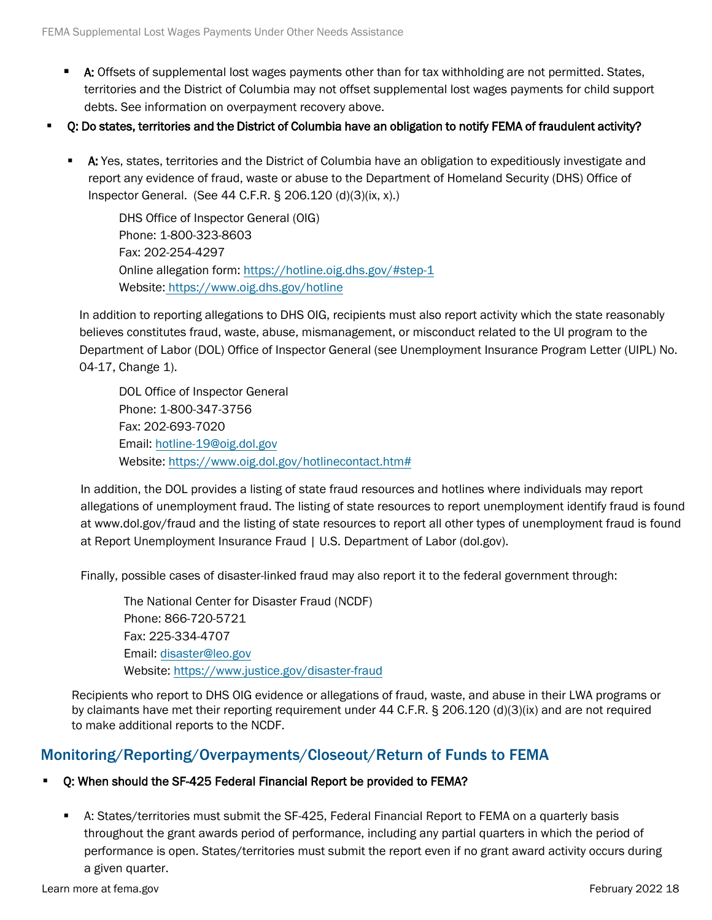- **A:** Offsets of supplemental lost wages payments other than for tax withholding are not permitted. States, territories and the District of Columbia may not offset supplemental lost wages payments for child support debts. See information on overpayment recovery above.
- Q: Do states, territories and the District of Columbia have an obligation to notify FEMA of fraudulent activity?
	- **A:** Yes, states, territories and the District of Columbia have an obligation to expeditiously investigate and report any evidence of fraud, waste or abuse to the Department of Homeland Security (DHS) Office of Inspector General. (See 44 C.F.R. § 206.120 (d)(3)(ix, x).)

DHS Office of Inspector General (OIG) Phone: 1-800-323-8603 Fax: 202-254-4297 Online allegation form: https://hotline.oig.dhs.gov/#step-1 Website: https://www.oig.dhs.gov/hotline

In addition to reporting allegations to DHS OIG, recipients must also report activity which the state reasonably believes constitutes fraud, waste, abuse, mismanagement, or misconduct related to the UI program to the Department of L[abor \(DOL\) Office of Inspector Gene](https://www.oig.dhs.gov/hotline)ral (see Unemployment Insurance Program Letter (UIPL) No. 04-17, Change 1).

DOL Office of Inspector General Phone: 1-800-347-3756 Fax: 202-693-7020 Email: [hotline-19@oig.dol.gov](mailto:hotline-19@oig.dol.gov)  Website: https://www.oig.dol.gov/hotlinecontact.htm#

In addition, the DOL provides a listing of state fraud resources and hotlines where individuals may report allegations of unemployment fraud. The listing of state resources to report unemployment identify fraud is found at www.dol.gov/fraud and the listing of state resources to report all other types of unemployment fraud is found at Report Unemployment Insurance Fraud | U.S. Department of Labor (dol.gov).

Finally, possible cases of disaster-linked fraud may also report it to the federal government through:

The National Center for Disaster Fraud (NCDF) Phone: 866-720-5721 Fax: 2[25-334-4707](mailto:disaster@leo.gov) Email: di[saster@leo.gov](https://www.justice.gov/disaster-fraud) Website: https://www.justice.gov/disaster-fraud

Recipients who report to DHS OIG evidence or allegations of fraud, waste, and abuse in their LWA programs or by claimants have met their reporting requirement under 44 C.F.R. § 206.120 (d)(3)(ix) and are not required to make additional reports to the NCDF.

## Monitoring/Reporting/Overpayments/Closeout/Return of Funds to FEMA

#### Q: When should the SF-425 Federal Financial Report be provided to FEMA?

 A: States/territories must submit the [SF-425, Federal Financial Report](https://www.fema.gov/sites/default/files/2020-08/fema_federal-financial-report_sf425.pdf) to FEMA on a quarterly basis throughout the grant awards period of performance, including any partial quarters in which the period of performance is open. States/territories must submit the report even if no grant award activity occurs during a given quarter.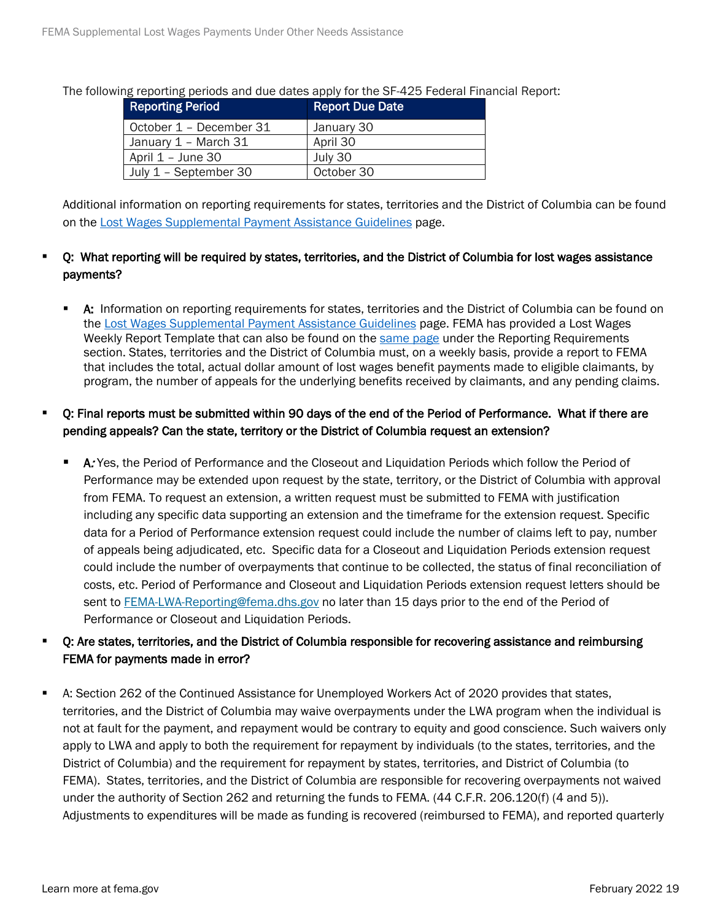The following reporting periods and due dates apply for the SF-425 Federal Financial Report:

| <b>Reporting Period</b> | <b>Report Due Date</b> |
|-------------------------|------------------------|
| October 1 - December 31 | January 30             |
| January 1 - March 31    | April 30               |
| April 1 - June 30       | July 30                |
| July 1 - September 30   | October 30             |

Additional information on reporting requirements for states, territories and the District of Columbia can be found on the [Lost Wages Supplemental Payment Assistance Guidelines](https://www.fema.gov/disasters/coronavirus/governments/supplemental-payments-lost-wages-guidelines) page.

#### Q: What reporting will be required by states, territories, and the District of Columbia for lost wages assistance payments?

 A: Information on reporting requirements for states, territories and the District of Columbia can be found on the [Lost Wages Supplemental Payment Assistance Guidelines](https://www.fema.gov/disasters/coronavirus/governments/supplemental-payments-lost-wages-guidelines) page. FEMA has provided a Lost Wages Weekly Report Template that can also be found on the [same page](https://www.fema.gov/disasters/coronavirus/governments/supplemental-payments-lost-wages-guidelines) under the Reporting Requirements section. States, territories and the District of Columbia must, on a weekly basis, provide a report to FEMA that includes the total, actual dollar amount of lost wages benefit payments made to eligible claimants, by program, the number of appeals for the underlying benefits received by claimants, and any pending claims.

### Q: Final reports must be submitted within 90 days of the end of the Period of Performance. What if there are pending appeals? Can the state, territory or the District of Columbia request an extension?

 A: Yes, the Period of Performance and the Closeout and Liquidation Periods which follow the Period of Performance may be extended upon request by the state, territory, or the District of Columbia with approval from FEMA. To request an extension, a written request must be submitted to FEMA with justification including any specific data supporting an extension and the timeframe for the extension request. Specific data for a Period of Performance extension request could include the number of claims left to pay, number of appeals being adjudicated, etc. Specific data for a Closeout and Liquidation Periods extension request could include the number of overpayments that continue to be collected, the status of final reconciliation of costs, etc. Period of Performance and Closeout and Liquidation Periods extension request letters should be sent to [FEMA-LWA-Reporting@fema.dhs.gov](mailto:FEMA-LWA-Reporting@fema.dhs.gov) no later than 15 days prior to the end of the Period of Performance or Closeout and Liquidation Periods.

## Q: Are states, territories, and the District of Columbia responsible for recovering assistance and reimbursing FEMA for payments made in error?

 A: Section 262 of the Continued Assistance for Unemployed Workers Act of 2020 provides that states, territories, and the District of Columbia may waive overpayments under the LWA program when the individual is not at fault for the payment, and repayment would be contrary to equity and good conscience. Such waivers only apply to LWA and apply to both the requirement for repayment by individuals (to the states, territories, and the District of Columbia) and the requirement for repayment by states, territories, and District of Columbia (to FEMA). States, territories, and the District of Columbia are responsible for recovering overpayments not waived under the authority of Section 262 and returning the funds to FEMA. (44 C.F.R. 206.120(f) (4 and 5)). Adjustments to expenditures will be made as funding is recovered (reimbursed to FEMA), and reported quarterly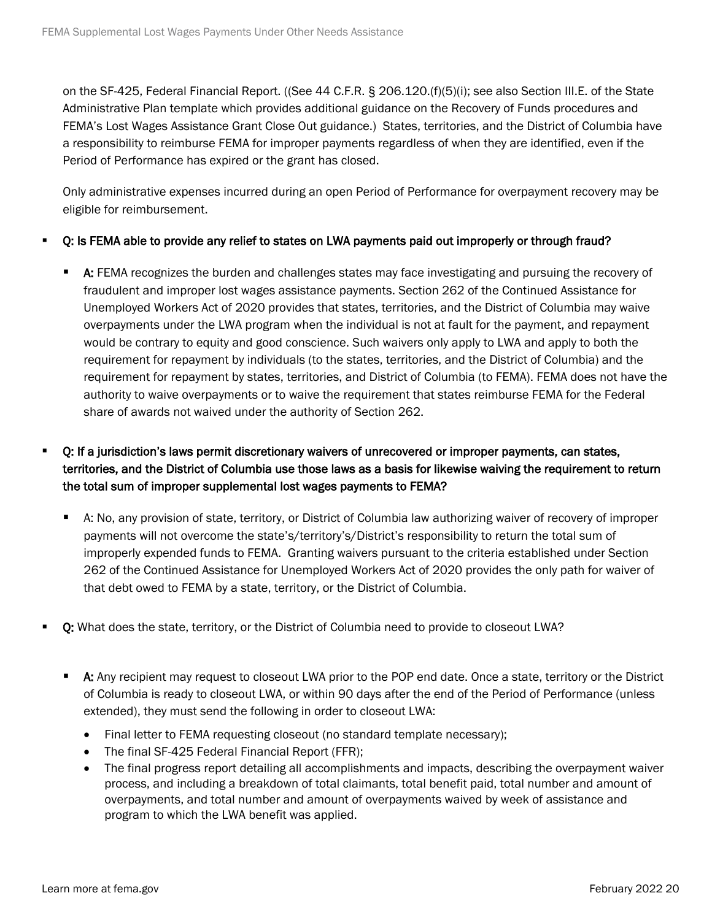on the SF-425, Federal Financial Report. ((See 44 C.F.R. § 206.120.(f)(5)(i); see also Section III.E. of the State Administrative Plan template which provides additional guidance on the Recovery of Funds procedures and FEMA's Lost Wages Assistance Grant Close Out guidance.) States, territories, and the District of Columbia have a responsibility to reimburse FEMA for improper payments regardless of when they are identified, even if the Period of Performance has expired or the grant has closed.

Only administrative expenses incurred during an open Period of Performance for overpayment recovery may be eligible for reimbursement.

#### Q: Is FEMA able to provide any relief to states on LWA payments paid out improperly or through fraud?

**A:** FEMA recognizes the burden and challenges states may face investigating and pursuing the recovery of fraudulent and improper lost wages assistance payments. Section 262 of the Continued Assistance for Unemployed Workers Act of 2020 provides that states, territories, and the District of Columbia may waive overpayments under the LWA program when the individual is not at fault for the payment, and repayment would be contrary to equity and good conscience. Such waivers only apply to LWA and apply to both the requirement for repayment by individuals (to the states, territories, and the District of Columbia) and the requirement for repayment by states, territories, and District of Columbia (to FEMA). FEMA does not have the authority to waive overpayments or to waive the requirement that states reimburse FEMA for the Federal share of awards not waived under the authority of Section 262.

## Q: If a jurisdiction's laws permit discretionary waivers of unrecovered or improper payments, can states, territories, and the District of Columbia use those laws as a basis for likewise waiving the requirement to return the total sum of improper supplemental lost wages payments to FEMA?

- A: No, any provision of state, territory, or District of Columbia law authorizing waiver of recovery of improper payments will not overcome the state's/territory's/District's responsibility to return the total sum of improperly expended funds to FEMA. Granting waivers pursuant to the criteria established under Section 262 of the Continued Assistance for Unemployed Workers Act of 2020 provides the only path for waiver of that debt owed to FEMA by a state, territory, or the District of Columbia.
- Q: What does the state, territory, or the District of Columbia need to provide to closeout LWA?
	- A: Any recipient may request to closeout LWA prior to the POP end date. Once a state, territory or the District of Columbia is ready to closeout LWA, or within 90 days after the end of the Period of Performance (unless extended), they must send the following in order to closeout LWA:
		- Final letter to FEMA requesting closeout (no standard template necessary);
		- The final SF-425 Federal Financial Report (FFR);
		- The final progress report detailing all accomplishments and impacts, describing the overpayment waiver process, and including a breakdown of total claimants, total benefit paid, total number and amount of overpayments, and total number and amount of overpayments waived by week of assistance and program to which the LWA benefit was applied.